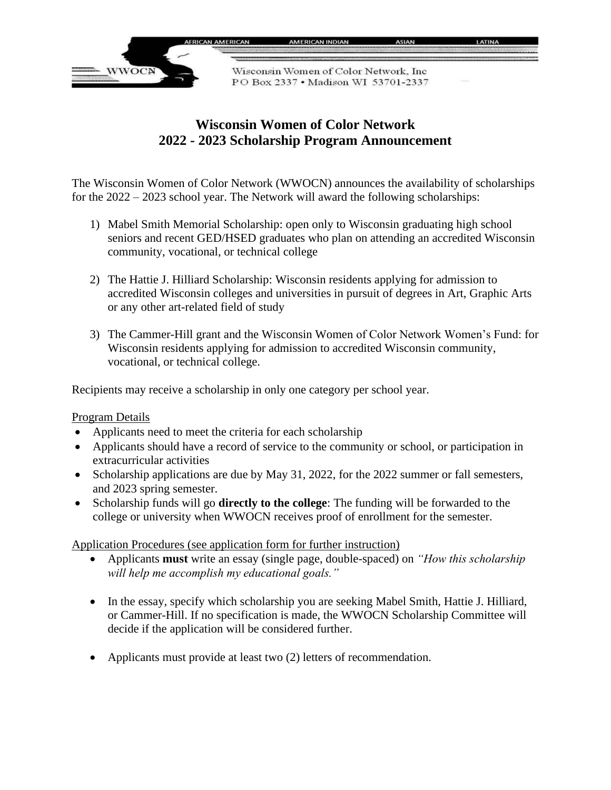

## **Wisconsin Women of Color Network 2022 - 2023 Scholarship Program Announcement**

The Wisconsin Women of Color Network (WWOCN) announces the availability of scholarships for the 2022 – 2023 school year. The Network will award the following scholarships:

- 1) Mabel Smith Memorial Scholarship: open only to Wisconsin graduating high school seniors and recent GED/HSED graduates who plan on attending an accredited Wisconsin community, vocational, or technical college
- 2) The Hattie J. Hilliard Scholarship: Wisconsin residents applying for admission to accredited Wisconsin colleges and universities in pursuit of degrees in Art, Graphic Arts or any other art-related field of study
- 3) The Cammer-Hill grant and the Wisconsin Women of Color Network Women's Fund: for Wisconsin residents applying for admission to accredited Wisconsin community, vocational, or technical college.

Recipients may receive a scholarship in only one category per school year.

## Program Details

- Applicants need to meet the criteria for each scholarship
- Applicants should have a record of service to the community or school, or participation in extracurricular activities
- Scholarship applications are due by May 31, 2022, for the 2022 summer or fall semesters, and 2023 spring semester.
- Scholarship funds will go **directly to the college**: The funding will be forwarded to the college or university when WWOCN receives proof of enrollment for the semester.

Application Procedures (see application form for further instruction)

- Applicants **must** write an essay (single page, double-spaced) on *"How this scholarship will help me accomplish my educational goals."*
- In the essay, specify which scholarship you are seeking Mabel Smith, Hattie J. Hilliard, or Cammer-Hill. If no specification is made, the WWOCN Scholarship Committee will decide if the application will be considered further.
- Applicants must provide at least two (2) letters of recommendation.